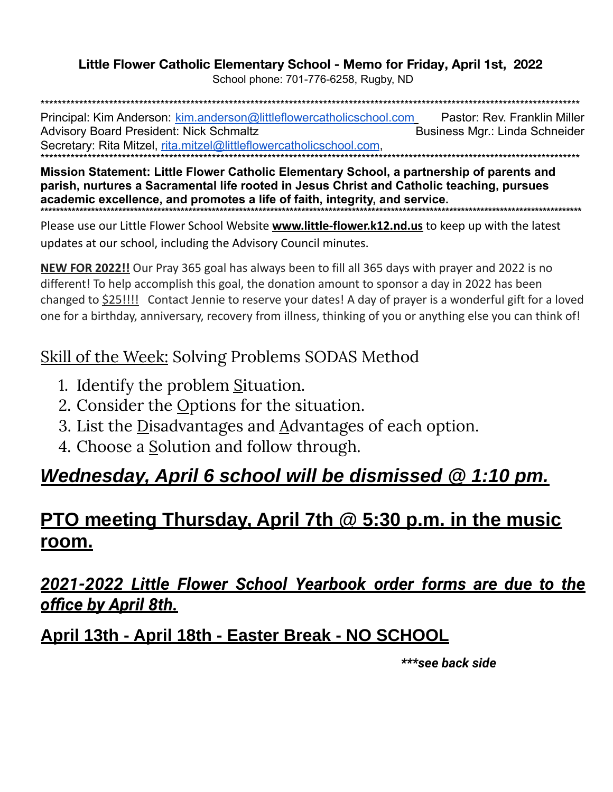#### Little Flower Catholic Elementary School - Memo for Friday, April 1st, 2022

School phone: 701-776-6258, Rugby, ND

Principal: Kim Anderson: kim.anderson@littleflowercatholicschool.com Pastor: Rev. Franklin Miller **Advisory Board President: Nick Schmaltz** Business Mgr.: Linda Schneider Secretary: Rita Mitzel, rita.mitzel@littleflowercatholicschool.com.

Mission Statement: Little Flower Catholic Elementary School, a partnership of parents and parish, nurtures a Sacramental life rooted in Jesus Christ and Catholic teaching, pursues academic excellence, and promotes a life of faith, integrity, and service. 

Please use our Little Flower School Website **www.little-flower.k12.nd.us** to keep up with the latest updates at our school, including the Advisory Council minutes.

**NEW FOR 2022!!** Our Pray 365 goal has always been to fill all 365 days with prayer and 2022 is no different! To help accomplish this goal, the donation amount to sponsor a day in 2022 has been changed to \$25!!!! Contact Jennie to reserve your dates! A day of prayer is a wonderful gift for a loved one for a birthday, anniversary, recovery from illness, thinking of you or anything else you can think of!

### Skill of the Week: Solving Problems SODAS Method

- 1. Identify the problem Situation.
- 2. Consider the Options for the situation.
- 3. List the Disadvantages and Advantages of each option.
- 4. Choose a Solution and follow through.

## Wednesday, April 6 school will be dismissed @ 1:10 pm.

### **PTO meeting Thursday, April 7th @ 5:30 p.m. in the music** room.

### <u>2021-2022 Little Flower School Yearbook order forms are due to the</u> office by April 8th.

### April 13th - April 18th - Easter Break - NO SCHOOL

\*\*\*see back side